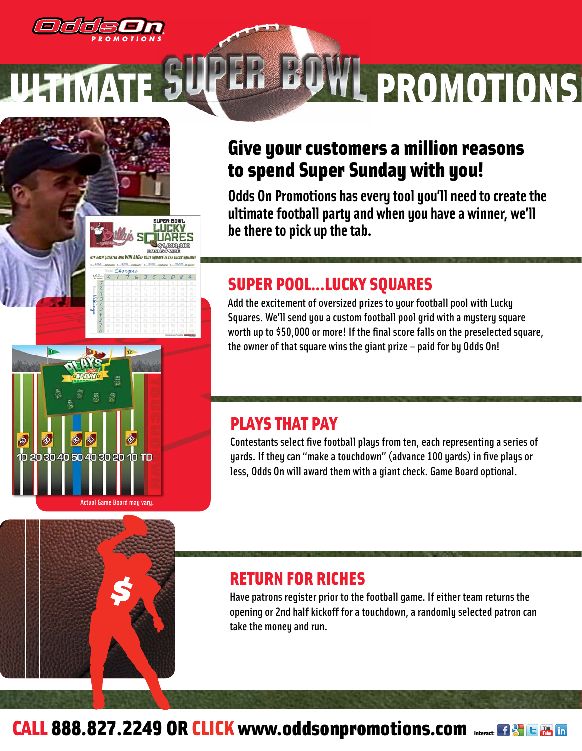

Actual Game Board may vary.

30 40 50 40 30 20 10 TD

# L PROMOTIONS

## Give your customers a million reasons to spend Super Sunday with you!

**Odds On Promotions has every tool you'll need to create the ultimate football party and when you have a winner, we'll be there to pick up the tab.**

### SUPER POOL…LUCKY SQUARES

Add the excitement of oversized prizes to your football pool with Lucky Squares. We'll send you a custom football pool grid with a mystery square worth up to \$50,000 or more! If the final score falls on the preselected square, the owner of that square wins the giant prize – paid for by Odds On!

### PLAYS THAT PAY

Contestants select five football plays from ten, each representing a series of yards. If they can "make a touchdown" (advance 100 yards) in five plays or less, Odds On will award them with a giant check. Game Board optional.

### RETURN FOR RICHES

Have patrons register prior to the football game. If either team returns the opening or 2nd half kickoff for a touchdown, a randomly selected patron can take the money and run.

# CALL 888.827.2249 OR CLICK www.oddsonpromotions.com Interact: EBS C BB In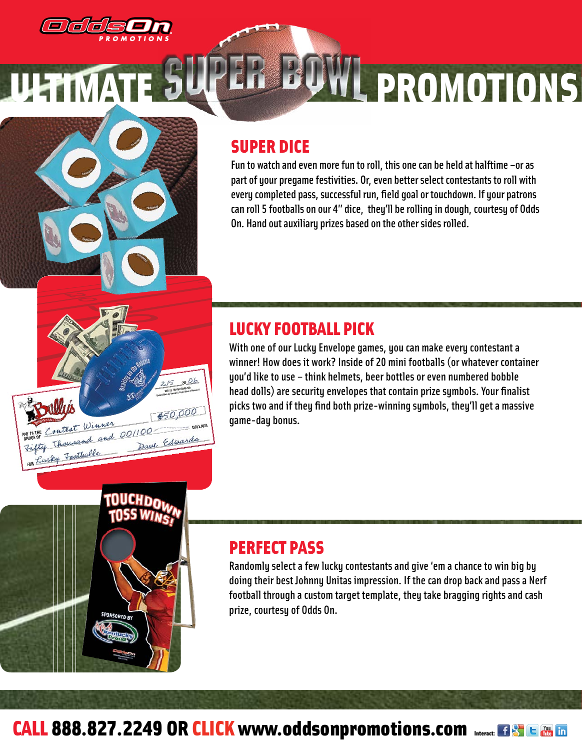

# L PROMOTIONS

### SUPER DICE

Fun to watch and even more fun to roll, this one can be held at halftime –or as part of your pregame festivities. Or, even better select contestants to roll with every completed pass, successful run, field goal or touchdown. If your patrons can roll 5 footballs on our 4" dice, they'll be rolling in dough, courtesy of Odds On. Hand out auxiliary prizes based on the other sides rolled.

### LUCKY FOOTBALL PICK

 $200k$ 

\$50,000

Dave Edwards

ontest Winner ON TO THE Contest Winner<br>Todon of Contest and 00/100

fly Footballs

With one of our Lucky Envelope games, you can make every contestant a winner! How does it work? Inside of 20 mini footballs (or whatever container you'd like to use – think helmets, beer bottles or even numbered bobble head dolls) are security envelopes that contain prize symbols. Your finalist picks two and if they find both prize-winning symbols, they'll get a massive game-day bonus.

### PERFECT PASS

Randomly select a few lucky contestants and give 'em a chance to win big by doing their best Johnny Unitas impression. If the can drop back and pass a Nerf football through a custom target template, they take bragging rights and cash prize, courtesy of Odds On.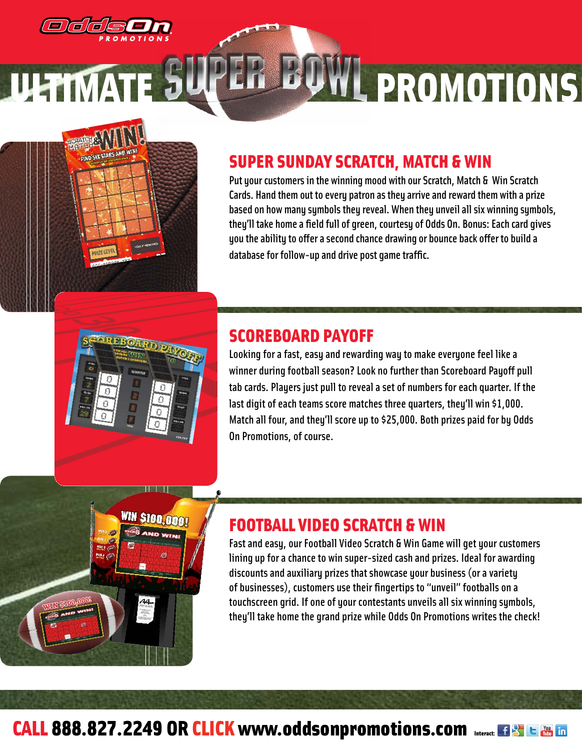

IN \$100.000

# ULTIMATE JULEIL DYWL PROMOTIONS

### SUPER SUNDAY SCRATCH, MATCH & WIN

Put your customers in the winning mood with our Scratch, Match & Win Scratch Cards. Hand them out to every patron as they arrive and reward them with a prize based on how many symbols they reveal. When they unveil all six winning symbols, they'll take home a field full of green, courtesy of Odds On. Bonus: Each card gives you the ability to offer a second chance drawing or bounce back offer to build a database for follow-up and drive post game traffic.

### SCOREBOARD PAYOFF

Looking for a fast, easy and rewarding way to make everyone feel like a winner during football season? Look no further than Scoreboard Payoff pull tab cards. Players just pull to reveal a set of numbers for each quarter. If the last digit of each teams score matches three quarters, they'll win \$1,000. Match all four, and they'll score up to \$25,000. Both prizes paid for by Odds On Promotions, of course.

### FOOTBALL VIDEO SCRATCH & WIN

Fast and easy, our Football Video Scratch & Win Game will get your customers lining up for a chance to win super-sized cash and prizes. Ideal for awarding discounts and auxiliary prizes that showcase your business (or a variety of businesses), customers use their fingertips to "unveil" footballs on a touchscreen grid. If one of your contestants unveils all six winning symbols, they'll take home the grand prize while Odds On Promotions writes the check!

### CALL 888.827.2249 OR CLICK www.oddsonpromotions.com Interact: EISTE To Interact: